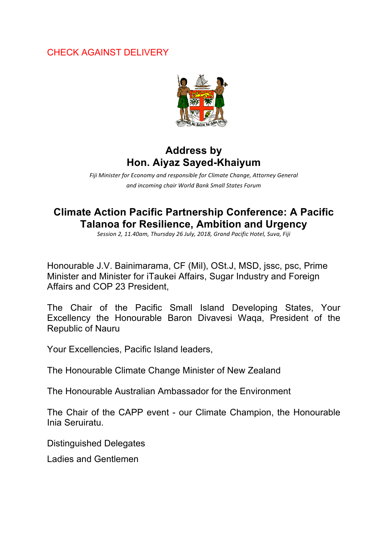## CHECK AGAINST DELIVERY



## **Address by Hon. Aiyaz Sayed-Khaiyum**

Fiji Minister for Economy and responsible for Climate Change, Attorney General *and incoming chair World Bank Small States Forum*

## **Climate Action Pacific Partnership Conference: A Pacific Talanoa for Resilience, Ambition and Urgency**

Session 2, 11.40am, Thursday 26 July, 2018, Grand Pacific Hotel, Suva, Fiji

Honourable J.V. Bainimarama, CF (Mil), OSt.J, MSD, jssc, psc, Prime Minister and Minister for iTaukei Affairs, Sugar Industry and Foreign Affairs and COP 23 President,

The Chair of the Pacific Small Island Developing States, Your Excellency the Honourable Baron Divavesi Waqa, President of the Republic of Nauru

Your Excellencies, Pacific Island leaders,

The Honourable Climate Change Minister of New Zealand

The Honourable Australian Ambassador for the Environment

The Chair of the CAPP event - our Climate Champion, the Honourable Inia Seruiratu.

Distinguished Delegates

Ladies and Gentlemen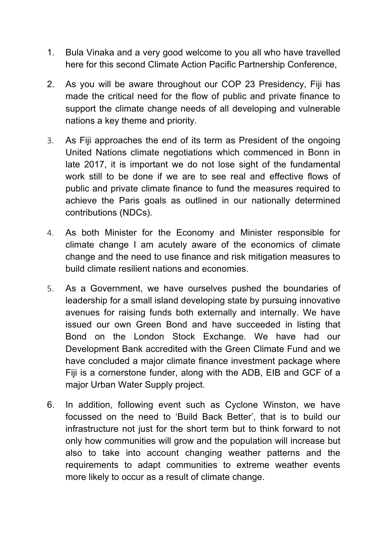- 1. Bula Vinaka and a very good welcome to you all who have travelled here for this second Climate Action Pacific Partnership Conference,
- 2. As you will be aware throughout our COP 23 Presidency, Fiji has made the critical need for the flow of public and private finance to support the climate change needs of all developing and vulnerable nations a key theme and priority.
- 3. As Fiji approaches the end of its term as President of the ongoing United Nations climate negotiations which commenced in Bonn in late 2017, it is important we do not lose sight of the fundamental work still to be done if we are to see real and effective flows of public and private climate finance to fund the measures required to achieve the Paris goals as outlined in our nationally determined contributions (NDCs).
- 4. As both Minister for the Economy and Minister responsible for climate change I am acutely aware of the economics of climate change and the need to use finance and risk mitigation measures to build climate resilient nations and economies.
- 5. As a Government, we have ourselves pushed the boundaries of leadership for a small island developing state by pursuing innovative avenues for raising funds both externally and internally. We have issued our own Green Bond and have succeeded in listing that Bond on the London Stock Exchange. We have had our Development Bank accredited with the Green Climate Fund and we have concluded a major climate finance investment package where Fiji is a cornerstone funder, along with the ADB, EIB and GCF of a major Urban Water Supply project.
- 6. In addition, following event such as Cyclone Winston, we have focussed on the need to 'Build Back Better', that is to build our infrastructure not just for the short term but to think forward to not only how communities will grow and the population will increase but also to take into account changing weather patterns and the requirements to adapt communities to extreme weather events more likely to occur as a result of climate change.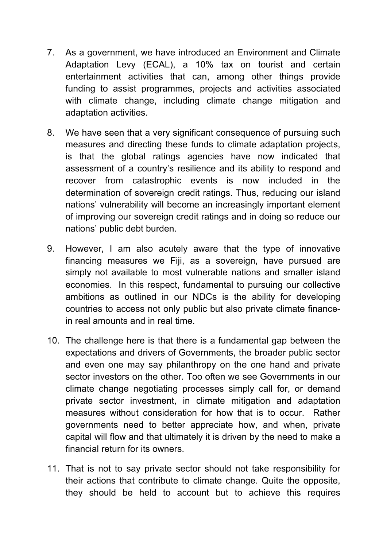- 7. As a government, we have introduced an Environment and Climate Adaptation Levy (ECAL), a 10% tax on tourist and certain entertainment activities that can, among other things provide funding to assist programmes, projects and activities associated with climate change, including climate change mitigation and adaptation activities.
- 8. We have seen that a very significant consequence of pursuing such measures and directing these funds to climate adaptation projects, is that the global ratings agencies have now indicated that assessment of a country's resilience and its ability to respond and recover from catastrophic events is now included in the determination of sovereign credit ratings. Thus, reducing our island nations' vulnerability will become an increasingly important element of improving our sovereign credit ratings and in doing so reduce our nations' public debt burden.
- 9. However, I am also acutely aware that the type of innovative financing measures we Fiji, as a sovereign, have pursued are simply not available to most vulnerable nations and smaller island economies. In this respect, fundamental to pursuing our collective ambitions as outlined in our NDCs is the ability for developing countries to access not only public but also private climate financein real amounts and in real time.
- 10. The challenge here is that there is a fundamental gap between the expectations and drivers of Governments, the broader public sector and even one may say philanthropy on the one hand and private sector investors on the other. Too often we see Governments in our climate change negotiating processes simply call for, or demand private sector investment, in climate mitigation and adaptation measures without consideration for how that is to occur. Rather governments need to better appreciate how, and when, private capital will flow and that ultimately it is driven by the need to make a financial return for its owners.
- 11. That is not to say private sector should not take responsibility for their actions that contribute to climate change. Quite the opposite, they should be held to account but to achieve this requires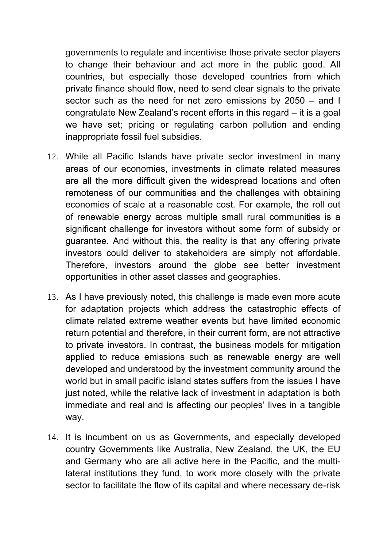governments to regulate and incentivise those private sector players to change their behaviour and act more in the public good. All countries, but especially those developed countries from which private finance should flow, need to send clear signals to the private sector such as the need for net zero emissions by 2050 – and I congratulate New Zealand's recent efforts in this regard – it is a goal we have set; pricing or regulating carbon pollution and ending inappropriate fossil fuel subsidies.

- 12. While all Pacific Islands have private sector investment in many areas of our economies, investments in climate related measures are all the more difficult given the widespread locations and often remoteness of our communities and the challenges with obtaining economies of scale at a reasonable cost. For example, the roll out of renewable energy across multiple small rural communities is a significant challenge for investors without some form of subsidy or guarantee. And without this, the reality is that any offering private investors could deliver to stakeholders are simply not affordable. Therefore, investors around the globe see better investment opportunities in other asset classes and geographies.
- 13. As I have previously noted, this challenge is made even more acute for adaptation projects which address the catastrophic effects of climate related extreme weather events but have limited economic return potential and therefore, in their current form, are not attractive to private investors. In contrast, the business models for mitigation applied to reduce emissions such as renewable energy are well developed and understood by the investment community around the world but in small pacific island states suffers from the issues I have just noted, while the relative lack of investment in adaptation is both immediate and real and is affecting our peoples' lives in a tangible way.
- 14. It is incumbent on us as Governments, and especially developed country Governments like Australia, New Zealand, the UK, the EU and Germany who are all active here in the Pacific, and the multilateral institutions they fund, to work more closely with the private sector to facilitate the flow of its capital and where necessary de-risk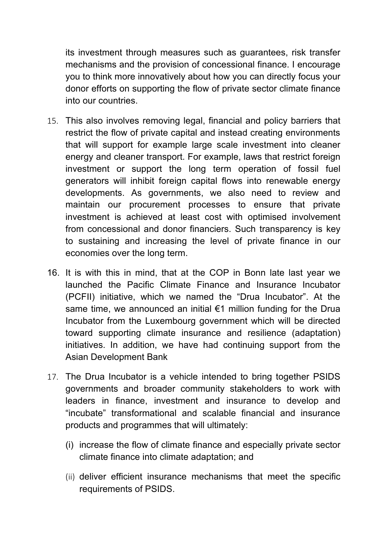its investment through measures such as guarantees, risk transfer mechanisms and the provision of concessional finance. I encourage you to think more innovatively about how you can directly focus your donor efforts on supporting the flow of private sector climate finance into our countries.

- 15. This also involves removing legal, financial and policy barriers that restrict the flow of private capital and instead creating environments that will support for example large scale investment into cleaner energy and cleaner transport. For example, laws that restrict foreign investment or support the long term operation of fossil fuel generators will inhibit foreign capital flows into renewable energy developments. As governments, we also need to review and maintain our procurement processes to ensure that private investment is achieved at least cost with optimised involvement from concessional and donor financiers. Such transparency is key to sustaining and increasing the level of private finance in our economies over the long term.
- 16. It is with this in mind, that at the COP in Bonn late last year we launched the Pacific Climate Finance and Insurance Incubator (PCFII) initiative, which we named the "Drua Incubator". At the same time, we announced an initial €1 million funding for the Drua Incubator from the Luxembourg government which will be directed toward supporting climate insurance and resilience (adaptation) initiatives. In addition, we have had continuing support from the Asian Development Bank
- 17. The Drua Incubator is a vehicle intended to bring together PSIDS governments and broader community stakeholders to work with leaders in finance, investment and insurance to develop and "incubate" transformational and scalable financial and insurance products and programmes that will ultimately:
	- (i) increase the flow of climate finance and especially private sector climate finance into climate adaptation; and
	- (ii) deliver efficient insurance mechanisms that meet the specific requirements of PSIDS.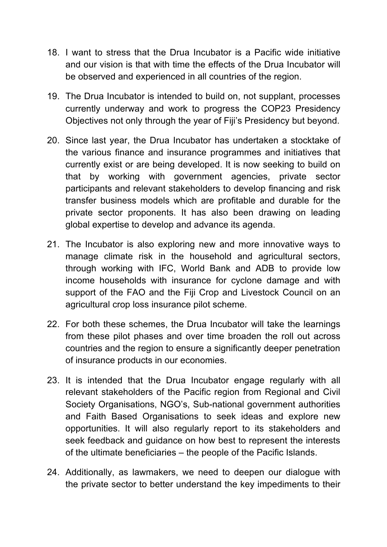- 18. I want to stress that the Drua Incubator is a Pacific wide initiative and our vision is that with time the effects of the Drua Incubator will be observed and experienced in all countries of the region.
- 19. The Drua Incubator is intended to build on, not supplant, processes currently underway and work to progress the COP23 Presidency Objectives not only through the year of Fiji's Presidency but beyond.
- 20. Since last year, the Drua Incubator has undertaken a stocktake of the various finance and insurance programmes and initiatives that currently exist or are being developed. It is now seeking to build on that by working with government agencies, private sector participants and relevant stakeholders to develop financing and risk transfer business models which are profitable and durable for the private sector proponents. It has also been drawing on leading global expertise to develop and advance its agenda.
- 21. The Incubator is also exploring new and more innovative ways to manage climate risk in the household and agricultural sectors, through working with IFC, World Bank and ADB to provide low income households with insurance for cyclone damage and with support of the FAO and the Fiji Crop and Livestock Council on an agricultural crop loss insurance pilot scheme.
- 22. For both these schemes, the Drua Incubator will take the learnings from these pilot phases and over time broaden the roll out across countries and the region to ensure a significantly deeper penetration of insurance products in our economies.
- 23. It is intended that the Drua Incubator engage regularly with all relevant stakeholders of the Pacific region from Regional and Civil Society Organisations, NGO's, Sub-national government authorities and Faith Based Organisations to seek ideas and explore new opportunities. It will also regularly report to its stakeholders and seek feedback and guidance on how best to represent the interests of the ultimate beneficiaries – the people of the Pacific Islands.
- 24. Additionally, as lawmakers, we need to deepen our dialogue with the private sector to better understand the key impediments to their